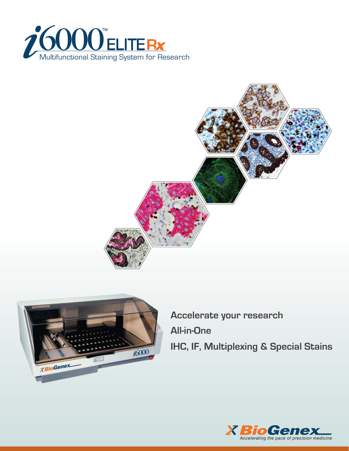





**Accelerate your research All-in-One IHC, IF, Multiplexing & Special Stains**

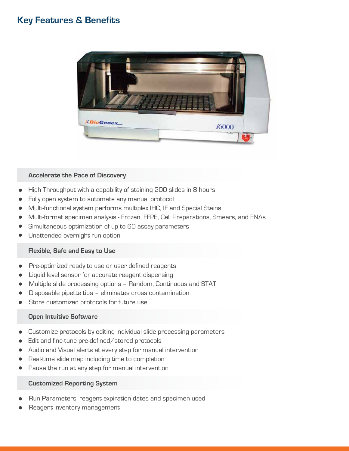### **Key Features & Benefits**



#### **Accelerate the Pace of Discovery**

- High Throughput with a capability of staining 200 slides in 8 hours
- Fully open system to automate any manual protocol
- Multi-functional system performs multiplex IHC, IF and Special Stains
- Multi-format specimen analysis Frozen, FFPE, Cell Preparations, Smears, and FNAs
- Simultaneous optimization of up to 60 assay parameters
- Unattended overnight run option

#### **Flexible, Safe and Easy to Use**

- Pre-optimized ready to use or user defined reagents
- Liquid level sensor for accurate reagent dispensing
- Multiple slide processing options Random, Continuous and STAT
- Disposable pipette tips eliminates cross contamination
- Store customized protocols for future use

#### **Open Intuitive Software**

- Customize protocols by editing individual slide processing parameters
- Edit and fine-tune pre-defined/stored protocols
- Audio and Visual alerts at every step for manual intervention
- Real-time slide map including time to completion
- Pause the run at any step for manual intervention

#### **Customized Reporting System**

- Run Parameters, reagent expiration dates and specimen used
- Reagent inventory management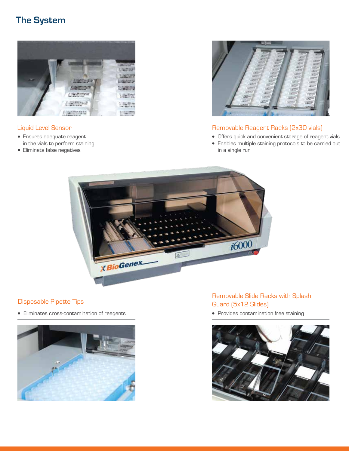# **The System**



### Liquid Level Sensor

- Ensures adequate reagent in the vials to perform staining
- Eliminate false negatives



### Removable Reagent Racks (2x30 vials)

- Offers quick and convenient storage of reagent vials
- Enables multiple staining protocols to be carried out in a single run



### Disposable Pipette Tips

Eliminates cross-contamination of reagents



### Removable Slide Racks with Splash Guard (5x12 Slides)

• Provides contamination free staining

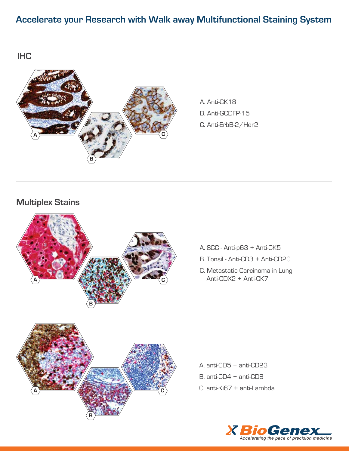# **Accelerate your Research with Walk away Multifunctional Staining System**

**IHC**



A. Anti-CK18 B. Anti-GCDFP-15 C. Anti-ErbB-2/Her2

**Multiplex Stains**



- A. SCC Anti-p63 + Anti-CK5
- B. Tonsil Anti-CD3 + Anti-CD20
- C. Metastatic Carcinoma in Lung **A** Anti-CDX2 + Anti-CK7

A. anti-CD5 + anti-CD23 B. anti-CD4 + anti-CD8 C. anti-Ki67 + anti-Lambda

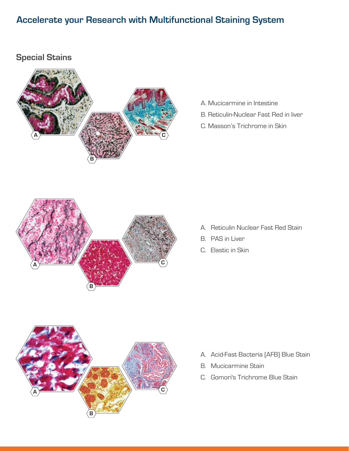# **Accelerate your Research with Multifunctional Staining System**

## **Special Stains**



- A. Mucicarmine in Intestine
- B. Reticulin-Nuclear Fast Red in liver
- C. Masson's Trichrome in Skin



- A. Reticulin Nuclear Fast Red Stain
- B. PAS in Liver
- C. Elastic in Skin



- A. Acid-Fast Bacteria (AFB) Blue Stain
- B. Mucicarmine Stain
- C. Gomori's Trichrome Blue Stain